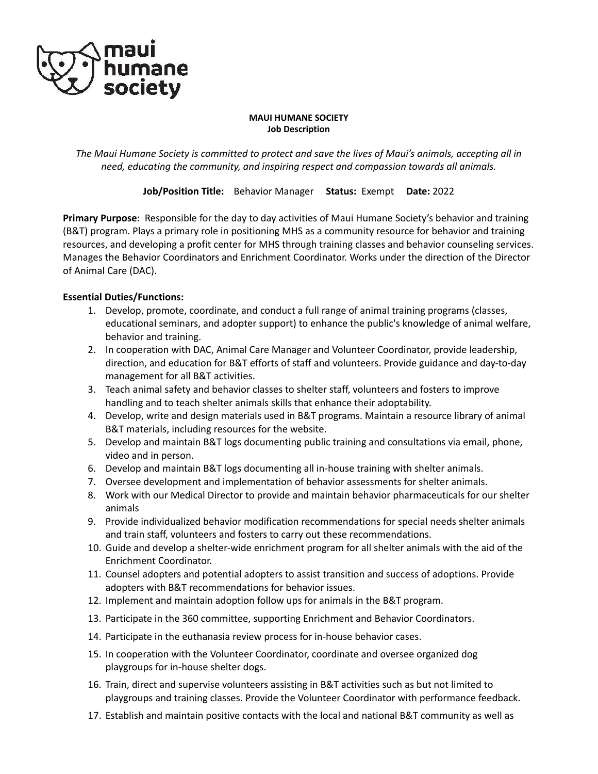

#### **MAUI HUMANE SOCIETY Job Description**

*The Maui Humane Society is committed to protect and save the lives of Maui's animals, accepting all in need, educating the community, and inspiring respect and compassion towards all animals.*

**Job/Position Title:** Behavior Manager **Status:** Exempt **Date:** 2022

**Primary Purpose**: Responsible for the day to day activities of Maui Humane Society's behavior and training (B&T) program. Plays a primary role in positioning MHS as a community resource for behavior and training resources, and developing a profit center for MHS through training classes and behavior counseling services. Manages the Behavior Coordinators and Enrichment Coordinator. Works under the direction of the Director of Animal Care (DAC).

## **Essential Duties/Functions:**

- 1. Develop, promote, coordinate, and conduct a full range of animal training programs (classes, educational seminars, and adopter support) to enhance the public's knowledge of animal welfare, behavior and training.
- 2. In cooperation with DAC, Animal Care Manager and Volunteer Coordinator, provide leadership, direction, and education for B&T efforts of staff and volunteers. Provide guidance and day-to-day management for all B&T activities.
- 3. Teach animal safety and behavior classes to shelter staff, volunteers and fosters to improve handling and to teach shelter animals skills that enhance their adoptability.
- 4. Develop, write and design materials used in B&T programs. Maintain a resource library of animal B&T materials, including resources for the website.
- 5. Develop and maintain B&T logs documenting public training and consultations via email, phone, video and in person.
- 6. Develop and maintain B&T logs documenting all in-house training with shelter animals.
- 7. Oversee development and implementation of behavior assessments for shelter animals.
- 8. Work with our Medical Director to provide and maintain behavior pharmaceuticals for our shelter animals
- 9. Provide individualized behavior modification recommendations for special needs shelter animals and train staff, volunteers and fosters to carry out these recommendations.
- 10. Guide and develop a shelter-wide enrichment program for all shelter animals with the aid of the Enrichment Coordinator.
- 11. Counsel adopters and potential adopters to assist transition and success of adoptions. Provide adopters with B&T recommendations for behavior issues.
- 12. Implement and maintain adoption follow ups for animals in the B&T program.
- 13. Participate in the 360 committee, supporting Enrichment and Behavior Coordinators.
- 14. Participate in the euthanasia review process for in-house behavior cases.
- 15. In cooperation with the Volunteer Coordinator, coordinate and oversee organized dog playgroups for in-house shelter dogs.
- 16. Train, direct and supervise volunteers assisting in B&T activities such as but not limited to playgroups and training classes. Provide the Volunteer Coordinator with performance feedback.
- 17. Establish and maintain positive contacts with the local and national B&T community as well as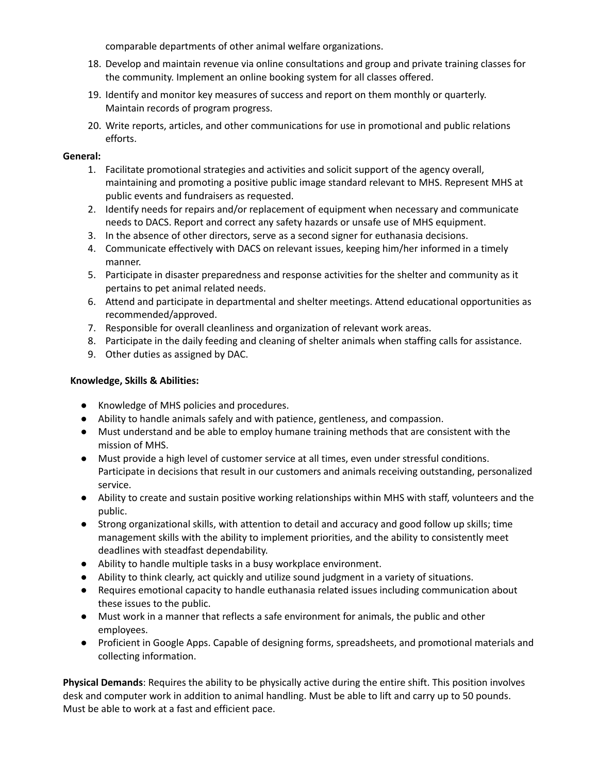comparable departments of other animal welfare organizations.

- 18. Develop and maintain revenue via online consultations and group and private training classes for the community. Implement an online booking system for all classes offered.
- 19. Identify and monitor key measures of success and report on them monthly or quarterly. Maintain records of program progress.
- 20. Write reports, articles, and other communications for use in promotional and public relations efforts.

## **General:**

- 1. Facilitate promotional strategies and activities and solicit support of the agency overall, maintaining and promoting a positive public image standard relevant to MHS. Represent MHS at public events and fundraisers as requested.
- 2. Identify needs for repairs and/or replacement of equipment when necessary and communicate needs to DACS. Report and correct any safety hazards or unsafe use of MHS equipment.
- 3. In the absence of other directors, serve as a second signer for euthanasia decisions.
- 4. Communicate effectively with DACS on relevant issues, keeping him/her informed in a timely manner.
- 5. Participate in disaster preparedness and response activities for the shelter and community as it pertains to pet animal related needs.
- 6. Attend and participate in departmental and shelter meetings. Attend educational opportunities as recommended/approved.
- 7. Responsible for overall cleanliness and organization of relevant work areas.
- 8. Participate in the daily feeding and cleaning of shelter animals when staffing calls for assistance.
- 9. Other duties as assigned by DAC.

## **Knowledge, Skills & Abilities:**

- Knowledge of MHS policies and procedures.
- Ability to handle animals safely and with patience, gentleness, and compassion.
- Must understand and be able to employ humane training methods that are consistent with the mission of MHS.
- Must provide a high level of customer service at all times, even under stressful conditions. Participate in decisions that result in our customers and animals receiving outstanding, personalized service.
- Ability to create and sustain positive working relationships within MHS with staff, volunteers and the public.
- Strong organizational skills, with attention to detail and accuracy and good follow up skills; time management skills with the ability to implement priorities, and the ability to consistently meet deadlines with steadfast dependability.
- Ability to handle multiple tasks in a busy workplace environment.
- Ability to think clearly, act quickly and utilize sound judgment in a variety of situations.
- Requires emotional capacity to handle euthanasia related issues including communication about these issues to the public.
- Must work in a manner that reflects a safe environment for animals, the public and other employees.
- Proficient in Google Apps. Capable of designing forms, spreadsheets, and promotional materials and collecting information.

**Physical Demands**: Requires the ability to be physically active during the entire shift. This position involves desk and computer work in addition to animal handling. Must be able to lift and carry up to 50 pounds. Must be able to work at a fast and efficient pace.